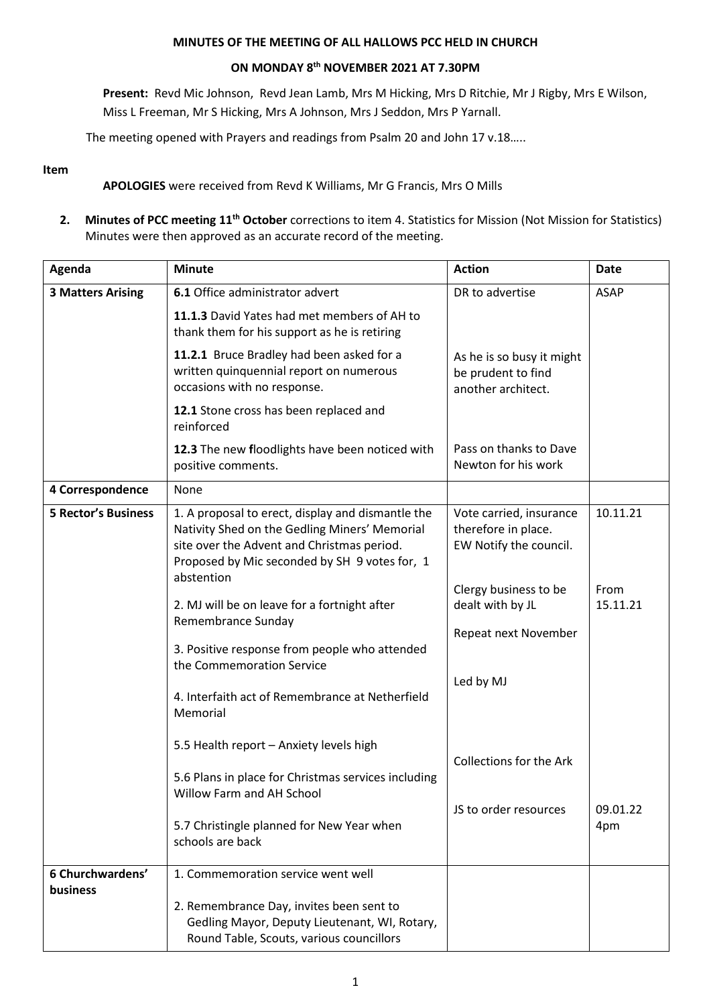## **MINUTES OF THE MEETING OF ALL HALLOWS PCC HELD IN CHURCH**

## **ON MONDAY 8 th NOVEMBER 2021 AT 7.30PM**

**Present:** Revd Mic Johnson, Revd Jean Lamb, Mrs M Hicking, Mrs D Ritchie, Mr J Rigby, Mrs E Wilson, Miss L Freeman, Mr S Hicking, Mrs A Johnson, Mrs J Seddon, Mrs P Yarnall.

The meeting opened with Prayers and readings from Psalm 20 and John 17 v.18…..

## **Item**

**APOLOGIES** were received from Revd K Williams, Mr G Francis, Mrs O Mills

**2. Minutes of PCC meeting 11th October** corrections to item 4. Statistics for Mission (Not Mission for Statistics) Minutes were then approved as an accurate record of the meeting.

| Agenda                       | <b>Minute</b>                                                                                                                                                                                     | <b>Action</b>                                                            | Date             |
|------------------------------|---------------------------------------------------------------------------------------------------------------------------------------------------------------------------------------------------|--------------------------------------------------------------------------|------------------|
| <b>3 Matters Arising</b>     | 6.1 Office administrator advert                                                                                                                                                                   | DR to advertise                                                          | <b>ASAP</b>      |
|                              | 11.1.3 David Yates had met members of AH to<br>thank them for his support as he is retiring                                                                                                       |                                                                          |                  |
|                              | 11.2.1 Bruce Bradley had been asked for a<br>written quinquennial report on numerous<br>occasions with no response.                                                                               | As he is so busy it might<br>be prudent to find<br>another architect.    |                  |
|                              | 12.1 Stone cross has been replaced and<br>reinforced                                                                                                                                              |                                                                          |                  |
|                              | 12.3 The new floodlights have been noticed with<br>positive comments.                                                                                                                             | Pass on thanks to Dave<br>Newton for his work                            |                  |
| 4 Correspondence             | None                                                                                                                                                                                              |                                                                          |                  |
| <b>5 Rector's Business</b>   | 1. A proposal to erect, display and dismantle the<br>Nativity Shed on the Gedling Miners' Memorial<br>site over the Advent and Christmas period.<br>Proposed by Mic seconded by SH 9 votes for, 1 | Vote carried, insurance<br>therefore in place.<br>EW Notify the council. | 10.11.21         |
|                              | abstention<br>2. MJ will be on leave for a fortnight after<br>Remembrance Sunday<br>3. Positive response from people who attended                                                                 | Clergy business to be<br>dealt with by JL<br>Repeat next November        | From<br>15.11.21 |
|                              | the Commemoration Service<br>4. Interfaith act of Remembrance at Netherfield<br>Memorial                                                                                                          | Led by MJ                                                                |                  |
|                              | 5.5 Health report - Anxiety levels high<br>5.6 Plans in place for Christmas services including                                                                                                    | <b>Collections for the Ark</b>                                           |                  |
|                              | Willow Farm and AH School                                                                                                                                                                         | JS to order resources                                                    | 09.01.22         |
|                              | 5.7 Christingle planned for New Year when<br>schools are back                                                                                                                                     |                                                                          | 4pm              |
| 6 Churchwardens'<br>business | 1. Commemoration service went well                                                                                                                                                                |                                                                          |                  |
|                              | 2. Remembrance Day, invites been sent to<br>Gedling Mayor, Deputy Lieutenant, WI, Rotary,<br>Round Table, Scouts, various councillors                                                             |                                                                          |                  |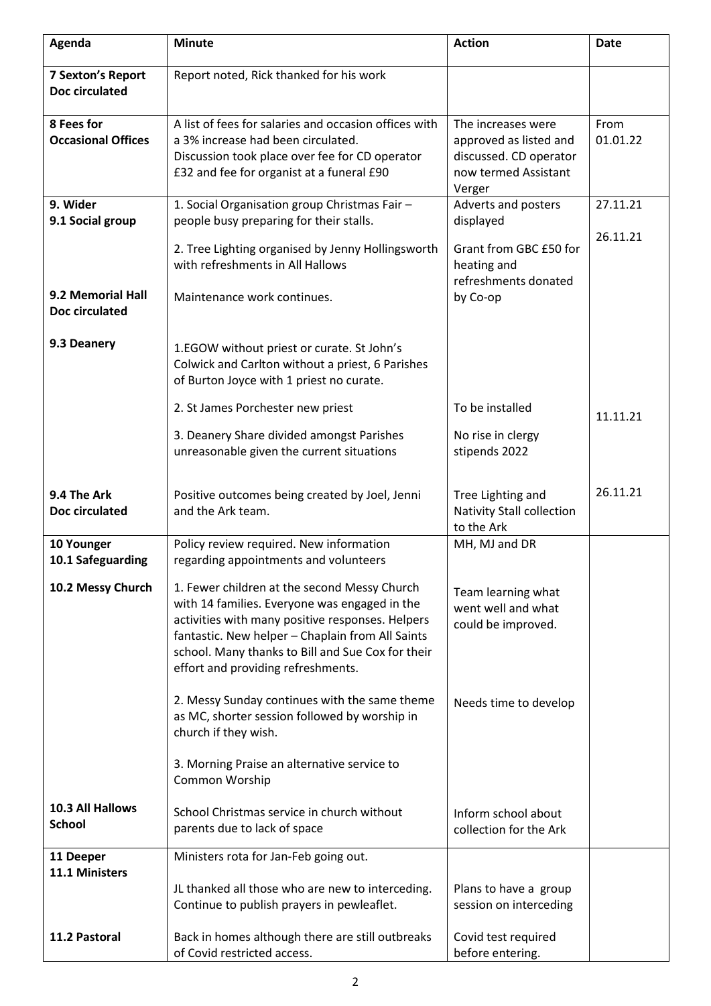| Agenda                                     | <b>Minute</b>                                                                                                                                                                                                                                                                                    | <b>Action</b>                                                                                            | Date             |
|--------------------------------------------|--------------------------------------------------------------------------------------------------------------------------------------------------------------------------------------------------------------------------------------------------------------------------------------------------|----------------------------------------------------------------------------------------------------------|------------------|
| <b>7 Sexton's Report</b><br>Doc circulated | Report noted, Rick thanked for his work                                                                                                                                                                                                                                                          |                                                                                                          |                  |
| 8 Fees for<br><b>Occasional Offices</b>    | A list of fees for salaries and occasion offices with<br>a 3% increase had been circulated.<br>Discussion took place over fee for CD operator<br>£32 and fee for organist at a funeral £90                                                                                                       | The increases were<br>approved as listed and<br>discussed. CD operator<br>now termed Assistant<br>Verger | From<br>01.01.22 |
| 9. Wider<br>9.1 Social group               | 1. Social Organisation group Christmas Fair -<br>people busy preparing for their stalls.                                                                                                                                                                                                         | Adverts and posters<br>displayed                                                                         | 27.11.21         |
|                                            | 2. Tree Lighting organised by Jenny Hollingsworth<br>with refreshments in All Hallows                                                                                                                                                                                                            | Grant from GBC £50 for<br>heating and<br>refreshments donated                                            | 26.11.21         |
| 9.2 Memorial Hall<br>Doc circulated        | Maintenance work continues.                                                                                                                                                                                                                                                                      | by Co-op                                                                                                 |                  |
| 9.3 Deanery                                | 1.EGOW without priest or curate. St John's<br>Colwick and Carlton without a priest, 6 Parishes<br>of Burton Joyce with 1 priest no curate.                                                                                                                                                       |                                                                                                          |                  |
|                                            | 2. St James Porchester new priest                                                                                                                                                                                                                                                                | To be installed                                                                                          | 11.11.21         |
|                                            | 3. Deanery Share divided amongst Parishes<br>unreasonable given the current situations                                                                                                                                                                                                           | No rise in clergy<br>stipends 2022                                                                       |                  |
| 9.4 The Ark<br>Doc circulated              | Positive outcomes being created by Joel, Jenni<br>and the Ark team.                                                                                                                                                                                                                              | Tree Lighting and<br>Nativity Stall collection<br>to the Ark                                             | 26.11.21         |
| 10 Younger<br>10.1 Safeguarding            | Policy review required. New information<br>regarding appointments and volunteers                                                                                                                                                                                                                 | MH, MJ and DR                                                                                            |                  |
| 10.2 Messy Church                          | 1. Fewer children at the second Messy Church<br>with 14 families. Everyone was engaged in the<br>activities with many positive responses. Helpers<br>fantastic. New helper - Chaplain from All Saints<br>school. Many thanks to Bill and Sue Cox for their<br>effort and providing refreshments. | Team learning what<br>went well and what<br>could be improved.                                           |                  |
|                                            | 2. Messy Sunday continues with the same theme<br>as MC, shorter session followed by worship in<br>church if they wish.                                                                                                                                                                           | Needs time to develop                                                                                    |                  |
|                                            | 3. Morning Praise an alternative service to<br>Common Worship                                                                                                                                                                                                                                    |                                                                                                          |                  |
| 10.3 All Hallows<br><b>School</b>          | School Christmas service in church without<br>parents due to lack of space                                                                                                                                                                                                                       | Inform school about<br>collection for the Ark                                                            |                  |
| 11 Deeper<br>11.1 Ministers                | Ministers rota for Jan-Feb going out.                                                                                                                                                                                                                                                            |                                                                                                          |                  |
|                                            | JL thanked all those who are new to interceding.<br>Continue to publish prayers in pewleaflet.                                                                                                                                                                                                   | Plans to have a group<br>session on interceding                                                          |                  |
| 11.2 Pastoral                              | Back in homes although there are still outbreaks<br>of Covid restricted access.                                                                                                                                                                                                                  | Covid test required<br>before entering.                                                                  |                  |